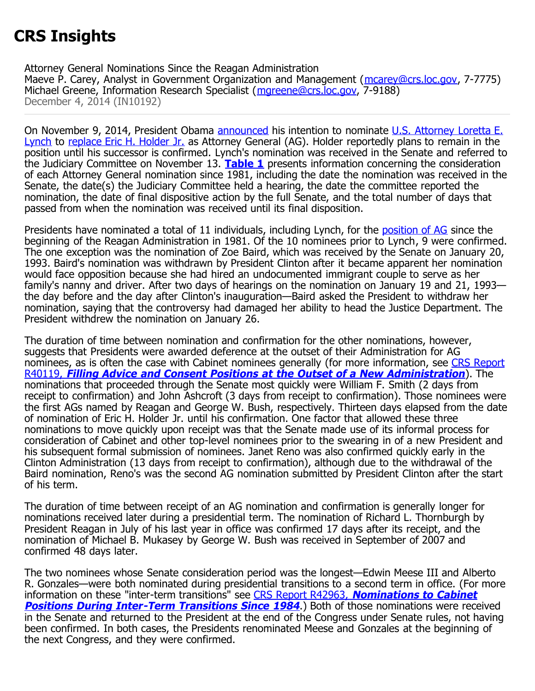## **CRS Insights**

Attorney General Nominations Since the Reagan Administration Maeve P. Carey, Analyst in Government Organization and Management ([mcarey@crs.loc.gov,](mailto:mcarey@crs.loc.gov) 7-7775) Michael Greene, Information Research Specialist ([mgreene@crs.loc.gov](mailto:mgreene@crs.loc.gov), 7-9188) December 4, 2014 (IN10192)

On November 9, 2014, President Obama [announced](http://www.whitehouse.gov/the-press-office/2014/11/09/remarks-president-nomination-loretta-lynch-attorney-general) his intention to nominate [U.S. Attorney Loretta E.](http://www.justice.gov/usao/nye/meetattorney.html) [Lynch](http://www.justice.gov/usao/nye/meetattorney.html) to [replace Eric H. Holder Jr.](http://www.whitehouse.gov/blog/2014/09/25/us-attorney-general-eric-holder-stepping-down-after-six-year-tenure) as Attorney General (AG). Holder reportedly plans to remain in the position until his successor is confirmed. Lynch's nomination was received in the Senate and referred to the Judiciary Committee on November 13. **[Table 1](http://www.crs.gov/pages/Insights.aspx?PRODCODE=IN10192#_Ref402258538)** presents information concerning the consideration of each Attorney General nomination since 1981, including the date the nomination was received in the Senate, the date(s) the Judiciary Committee held a hearing, the date the committee reported the nomination, the date of final dispositive action by the full Senate, and the total number of days that passed from when the nomination was received until its final disposition.

Presidents have nominated a total of 11 individuals, including Lynch, for the [position of AG](http://www.justice.gov/ag/historical-bios) since the beginning of the Reagan Administration in 1981. Of the 10 nominees prior to Lynch, 9 were confirmed. The one exception was the nomination of Zoe Baird, which was received by the Senate on January 20, 1993. Baird's nomination was withdrawn by President Clinton after it became apparent her nomination would face opposition because she had hired an undocumented immigrant couple to serve as her family's nanny and driver. After two days of hearings on the nomination on January 19 and 21, 1993 the day before and the day after Clinton's inauguration—Baird asked the President to withdraw her nomination, saying that the controversy had damaged her ability to head the Justice Department. The President withdrew the nomination on January 26.

The duration of time between nomination and confirmation for the other nominations, however, suggests that Presidents were awarded deference at the outset of their Administration for AG nominees, as is often the case with Cabinet nominees generally (for more information, see [CRS Report](http://www.crs.gov/pages/Reports.aspx?PRODCODE=R40119&Source=search) [R40119,](http://www.crs.gov/pages/Reports.aspx?PRODCODE=R40119&Source=search) **[Filling Advice and Consent Positions at the Outset of a New Administration](http://www.crs.gov/pages/Reports.aspx?PRODCODE=R40119)**). The nominations that proceeded through the Senate most quickly were William F. Smith (2 days from receipt to confirmation) and John Ashcroft (3 days from receipt to confirmation). Those nominees were the first AGs named by Reagan and George W. Bush, respectively. Thirteen days elapsed from the date of nomination of Eric H. Holder Jr. until his confirmation. One factor that allowed these three nominations to move quickly upon receipt was that the Senate made use of its informal process for consideration of Cabinet and other top-level nominees prior to the swearing in of a new President and his subsequent formal submission of nominees. Janet Reno was also confirmed quickly early in the Clinton Administration (13 days from receipt to confirmation), although due to the withdrawal of the Baird nomination, Reno's was the second AG nomination submitted by President Clinton after the start of his term.

The duration of time between receipt of an AG nomination and confirmation is generally longer for nominations received later during a presidential term. The nomination of Richard L. Thornburgh by President Reagan in July of his last year in office was confirmed 17 days after its receipt, and the nomination of Michael B. Mukasey by George W. Bush was received in September of 2007 and confirmed 48 days later.

The two nominees whose Senate consideration period was the longest—Edwin Meese III and Alberto R. Gonzales—were both nominated during presidential transitions to a second term in office. (For more information on these "inter-term transitions" see [CRS Report R42963,](http://www.fas.org/sgp/crs/misc/R42963.pdf) **[Nominations to Cabinet](http://www.fas.org/sgp/crs/misc/R42963.pdf) [Positions During Inter-Term Transitions Since 1984](http://www.fas.org/sgp/crs/misc/R42963.pdf)**.) Both of those nominations were received in the Senate and returned to the President at the end of the Congress under Senate rules, not having been confirmed. In both cases, the Presidents renominated Meese and Gonzales at the beginning of the next Congress, and they were confirmed.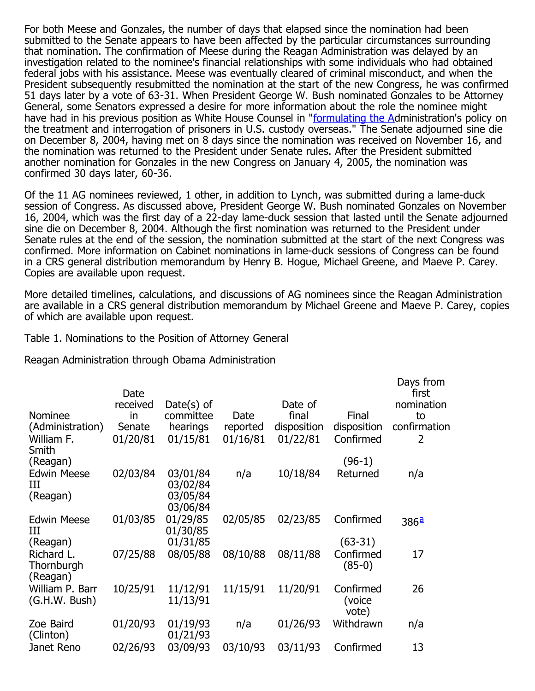For both Meese and Gonzales, the number of days that elapsed since the nomination had been submitted to the Senate appears to have been affected by the particular circumstances surrounding that nomination. The confirmation of Meese during the Reagan Administration was delayed by an investigation related to the nominee's financial relationships with some individuals who had obtained federal jobs with his assistance. Meese was eventually cleared of criminal misconduct, and when the President subsequently resubmitted the nomination at the start of the new Congress, he was confirmed 51 days later by a vote of 63-31. When President George W. Bush nominated Gonzales to be Attorney General, some Senators expressed a desire for more information about the role the nominee might have had in his previous position as White House Counsel in "[formulating the Ad](http://www.gpo.gov/fdsys/pkg/CREC-2004-12-07/pdf/CREC-2004-12-07-pt1-PgS11868-2.pdf#page=1)ministration's policy on the treatment and interrogation of prisoners in U.S. custody overseas." The Senate adjourned sine die on December 8, 2004, having met on 8 days since the nomination was received on November 16, and the nomination was returned to the President under Senate rules. After the President submitted another nomination for Gonzales in the new Congress on January 4, 2005, the nomination was confirmed 30 days later, 60-36.

Of the 11 AG nominees reviewed, 1 other, in addition to Lynch, was submitted during a lame-duck session of Congress. As discussed above, President George W. Bush nominated Gonzales on November 16, 2004, which was the first day of a 22-day lame-duck session that lasted until the Senate adjourned sine die on December 8, 2004. Although the first nomination was returned to the President under Senate rules at the end of the session, the nomination submitted at the start of the next Congress was confirmed. More information on Cabinet nominations in lame-duck sessions of Congress can be found in a CRS general distribution memorandum by Henry B. Hogue, Michael Greene, and Maeve P. Carey. Copies are available upon request.

More detailed timelines, calculations, and discussions of AG nominees since the Reagan Administration are available in a CRS general distribution memorandum by Michael Greene and Maeve P. Carey, copies of which are available upon request.

## Table 1. Nominations to the Position of Attorney General

Reagan Administration through Obama Administration

| <b>Nominee</b><br>(Administration)<br>William F.<br>Smith | Date<br>received<br>in<br>Senate<br>01/20/81 | Date $(s)$ of<br>committee<br>hearings<br>01/15/81 | Date<br>reported<br>01/16/81 | Date of<br>final<br>disposition<br>01/22/81 | Final<br>disposition<br>Confirmed  | Days from<br>first<br>nomination<br>to<br>confirmation<br>$\overline{2}$ |
|-----------------------------------------------------------|----------------------------------------------|----------------------------------------------------|------------------------------|---------------------------------------------|------------------------------------|--------------------------------------------------------------------------|
| (Reagan)                                                  |                                              |                                                    |                              |                                             | $(96-1)$                           |                                                                          |
| <b>Edwin Meese</b><br>Ш<br>(Reagan)                       | 02/03/84                                     | 03/01/84<br>03/02/84<br>03/05/84<br>03/06/84       | n/a                          | 10/18/84                                    | Returned                           | n/a                                                                      |
| <b>Edwin Meese</b><br>Ш                                   | 01/03/85                                     | 01/29/85<br>01/30/85                               | 02/05/85                     | 02/23/85                                    | Confirmed                          | 386ª                                                                     |
| (Reagan)<br>Richard L.<br>Thornburgh<br>(Reagan)          | 07/25/88                                     | 01/31/85<br>08/05/88                               | 08/10/88                     | 08/11/88                                    | $(63-31)$<br>Confirmed<br>$(85-0)$ | 17                                                                       |
| William P. Barr<br>(G.H.W. Bush)                          | 10/25/91                                     | 11/12/91<br>11/13/91                               | 11/15/91                     | 11/20/91                                    | Confirmed<br>(voice<br>vote)       | 26                                                                       |
| Zoe Baird<br>(Clinton)                                    | 01/20/93                                     | 01/19/93<br>01/21/93                               | n/a                          | 01/26/93                                    | Withdrawn                          | n/a                                                                      |
| Janet Reno                                                | 02/26/93                                     | 03/09/93                                           | 03/10/93                     | 03/11/93                                    | Confirmed                          | 13                                                                       |